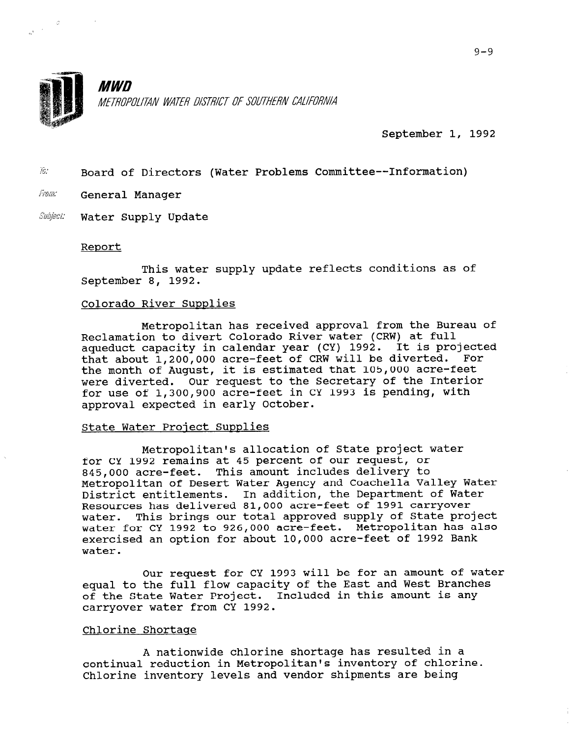

.F

 $\alpha^{\frac{1}{2}(\frac{1}{\alpha^2}-\frac{1}{\alpha^2})}$ 

**MWN** METROPOLITAN WATER DISTRICT OF SOUTHERN CALIFORNIA

September 1, 1992

 $i\delta$ : Board of Directors (Water Problems Committee--Information)

- From: General Manager
- Subject: Water Supply Update

### Report

This water supply update reflects conditions as of September 8, 1992.

## Colorado River Supplies

Metropolitan has received approval from the Bureau of Reclamation to divert Colorado River water (CRW) at full aqueduct capacity in calendar year (CY) 1992. It is project that about 1,200,OOO acre-feet of CRW will be diverted. For the month of August, it is estimated that 105,000 acre-feet were diverted. Our request to the Secretary of the Interior for use of 1,300,900 acre-feet in CY 1993 is pending, with approval expected in early October.

#### State Water Proiect Supplies

Metropolitan's allocation of State project water for CY 1992 remains at 45 percent of our request, or 845,000 acre-feet. This amount includes delivery to Metropolitan of Desert Water Agency and Coachella Valley Water necroporican or besert mater Agency and codoneria variey may<br>District entitlements. In addition, the Department of Water Resources has delivered 81,000 acre-feet of 1991 carryover water. This brings our total approved supply of State project water for CY 1992 to 926,000 acre-feet. Metropolitan has also exercised an option for about 10,000 acre-feet of 1992 Bank water.

Our request for CY 1993 will be for an amount of water equal to the full flow capacity of the East and West Branches of the State Water Project. Included in this amount is any carryover water from CY 1992.

# Chlorine Shortage

A nationwide chlorine shortage has resulted in a continual reduction in Metropolitan's inventory of chlorine. Chlorine inventory levels and vendor shipments are being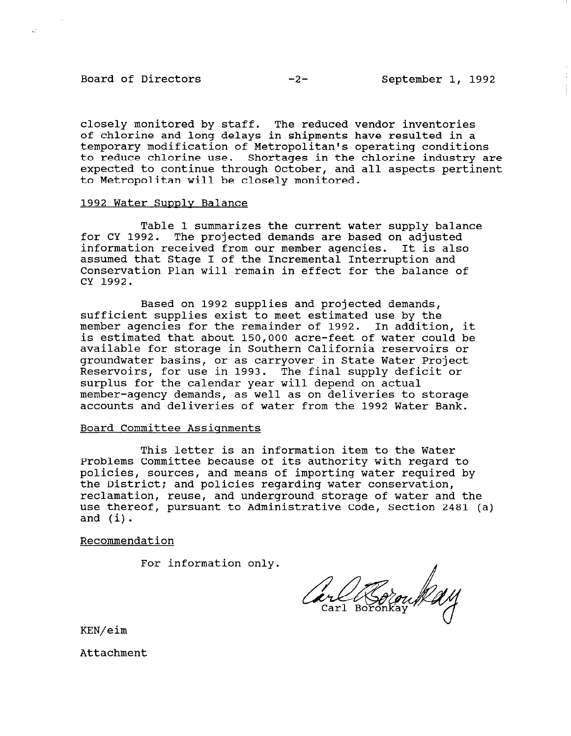# Board of Directors -2- September 1, 1992

 $\mathbb{R}^2$ 

closely monitored by staff. The reduced vendor inventories of chlorine and long delays in shipments have resulted in a temporary modification of Metropolitan's operating conditions to reduce chlorine use. Shortages in the chlorine industry are expected to continue through October, and all aspects pertinent to Metropolitan will be closely monitored.

### 1992 Water Supply Balance

Table 1 summarizes the current water supply balance for CY 1992. The projected demands are based on adjusted information received from our member agencies. It is also assumed that Stage I of the Incremental Interruption and Conservation Plan will remain in effect for the balance of CY 1992.

Based on 1992 supplies and projected demands, sufficient supplies exist to meet estimated use by the member agencies for the remainder of 1992. In addition, it is estimated that about 150,000 acre-feet of water could be available for storage in Southern California reservoirs or groundwater basins, or as carryover in State Water Project Reservoirs, for use in 1993. The final supply deficit or surplus for the calendar year will depend on actual member-agency demands, as well as on deliveries to storage accounts and deliveries of water from the 1992 Water Bank.

# Board Committee Assignments

This letter is an information item to the Water Problems Committee because of its authority with regard to policies, sources, and means of importing water required by the District; and policies regarding water conservation, reclamation, reuse, and underground storage of water and the use thereof, pursuant to Administrative Code, Section 2481 (a) and (i).

Recommendation

For information only.

KEN/eim

Attachment